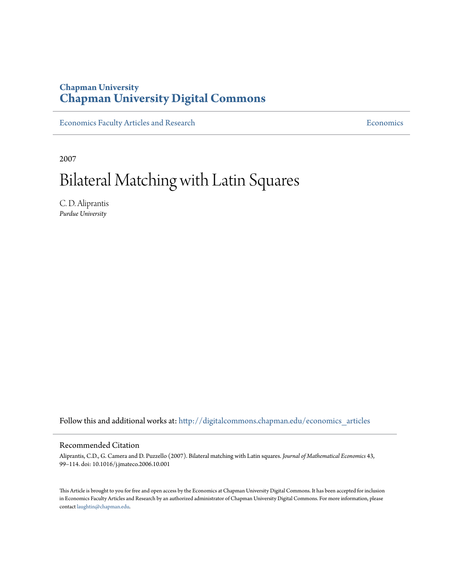## **Chapman University [Chapman University Digital Commons](http://digitalcommons.chapman.edu?utm_source=digitalcommons.chapman.edu%2Feconomics_articles%2F80&utm_medium=PDF&utm_campaign=PDFCoverPages)**

[Economics Faculty Articles and Research](http://digitalcommons.chapman.edu/economics_articles?utm_source=digitalcommons.chapman.edu%2Feconomics_articles%2F80&utm_medium=PDF&utm_campaign=PDFCoverPages) **[Economics](http://digitalcommons.chapman.edu/economics?utm_source=digitalcommons.chapman.edu%2Feconomics_articles%2F80&utm_medium=PDF&utm_campaign=PDFCoverPages)** Economics

2007

# Bilateral Matching with Latin Squares

C. D. Aliprantis *Purdue University*

Follow this and additional works at: [http://digitalcommons.chapman.edu/economics\\_articles](http://digitalcommons.chapman.edu/economics_articles?utm_source=digitalcommons.chapman.edu%2Feconomics_articles%2F80&utm_medium=PDF&utm_campaign=PDFCoverPages)

## Recommended Citation

Aliprantis, C.D., G. Camera and D. Puzzello (2007). Bilateral matching with Latin squares. *Journal of Mathematical Economics* 43, 99–114. doi: 10.1016/j.jmateco.2006.10.001

This Article is brought to you for free and open access by the Economics at Chapman University Digital Commons. It has been accepted for inclusion in Economics Faculty Articles and Research by an authorized administrator of Chapman University Digital Commons. For more information, please contact [laughtin@chapman.edu](mailto:laughtin@chapman.edu).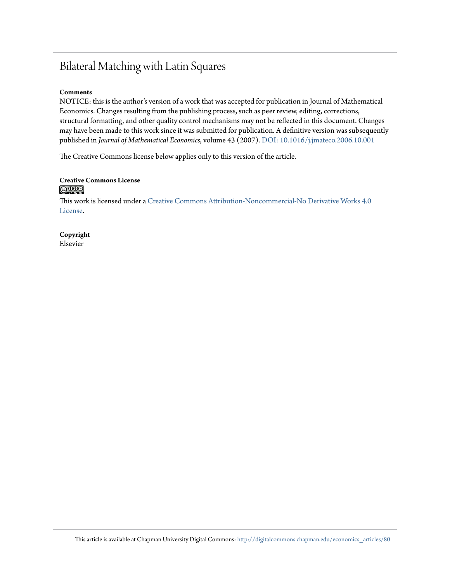## Bilateral Matching with Latin Squares

## **Comments**

NOTICE: this is the author's version of a work that was accepted for publication in Journal of Mathematical Economics. Changes resulting from the publishing process, such as peer review, editing, corrections, structural formatting, and other quality control mechanisms may not be reflected in this document. Changes may have been made to this work since it was submitted for publication. A definitive version was subsequently published in *Journal of Mathematical Economics*, volume 43 (2007). [DOI: 10.1016/j.jmateco.2006.10.001](http://dx.doi.org/10.1016/j.jmateco.2006.10.001)

The Creative Commons license below applies only to this version of the article.

### **Creative Commons License**  $\bigcirc$   $\circ$

This work is licensed under a [Creative Commons Attribution-Noncommercial-No Derivative Works 4.0](http://creativecommons.org/licenses/by-nc-nd/4.0/) [License.](http://creativecommons.org/licenses/by-nc-nd/4.0/)

**Copyright** Elsevier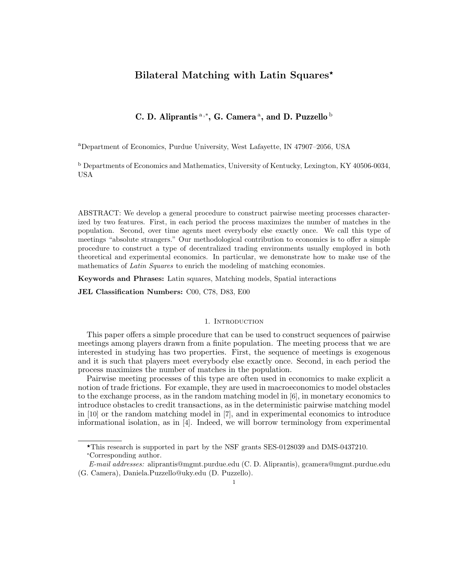## Bilateral Matching with Latin Squares<sup>\*</sup>

## C. D. Aliprantis<sup>a,\*</sup>, G. Camera<sup>a</sup>, and D. Puzzello<sup>b</sup>

<sup>a</sup>Department of Economics, Purdue University, West Lafayette, IN 47907–2056, USA

<sup>b</sup> Departments of Economics and Mathematics, University of Kentucky, Lexington, KY 40506-0034, USA

ABSTRACT: We develop a general procedure to construct pairwise meeting processes characterized by two features. First, in each period the process maximizes the number of matches in the population. Second, over time agents meet everybody else exactly once. We call this type of meetings "absolute strangers." Our methodological contribution to economics is to offer a simple procedure to construct a type of decentralized trading environments usually employed in both theoretical and experimental economics. In particular, we demonstrate how to make use of the mathematics of Latin Squares to enrich the modeling of matching economies.

Keywords and Phrases: Latin squares, Matching models, Spatial interactions

JEL Classification Numbers: C00, C78, D83, E00

#### 1. INTRODUCTION

This paper offers a simple procedure that can be used to construct sequences of pairwise meetings among players drawn from a finite population. The meeting process that we are interested in studying has two properties. First, the sequence of meetings is exogenous and it is such that players meet everybody else exactly once. Second, in each period the process maximizes the number of matches in the population.

Pairwise meeting processes of this type are often used in economics to make explicit a notion of trade frictions. For example, they are used in macroeconomics to model obstacles to the exchange process, as in the random matching model in [6], in monetary economics to introduce obstacles to credit transactions, as in the deterministic pairwise matching model in [10] or the random matching model in [7], and in experimental economics to introduce informational isolation, as in [4]. Indeed, we will borrow terminology from experimental

<sup>F</sup>This research is supported in part by the NSF grants SES-0128039 and DMS-0437210. <sup>∗</sup>Corresponding author.

E-mail addresses: aliprantis@mgmt.purdue.edu (C. D. Aliprantis), gcamera@mgmt.purdue.edu (G. Camera), Daniela.Puzzello@uky.edu (D. Puzzello).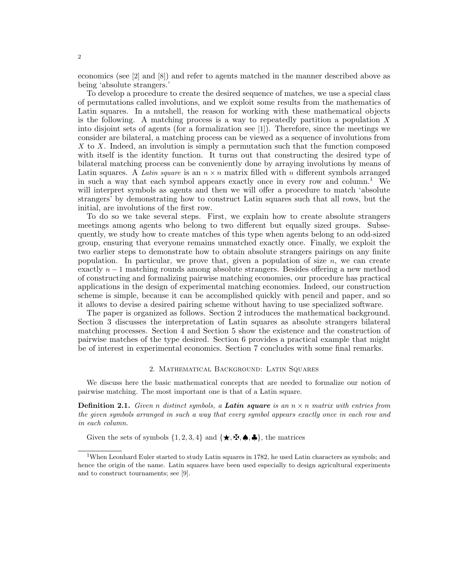economics (see [2] and [8]) and refer to agents matched in the manner described above as being 'absolute strangers.'

To develop a procedure to create the desired sequence of matches, we use a special class of permutations called involutions, and we exploit some results from the mathematics of Latin squares. In a nutshell, the reason for working with these mathematical objects is the following. A matching process is a way to repeatedly partition a population X into disjoint sets of agents (for a formalization see [1]). Therefore, since the meetings we consider are bilateral, a matching process can be viewed as a sequence of involutions from X to X. Indeed, an involution is simply a permutation such that the function composed with itself is the identity function. It turns out that constructing the desired type of bilateral matching process can be conveniently done by arraying involutions by means of Latin squares. A Latin square is an  $n \times n$  matrix filled with n different symbols arranged in such a way that each symbol appears exactly once in every row and column.<sup>1</sup> We will interpret symbols as agents and then we will offer a procedure to match 'absolute strangers' by demonstrating how to construct Latin squares such that all rows, but the initial, are involutions of the first row.

To do so we take several steps. First, we explain how to create absolute strangers meetings among agents who belong to two different but equally sized groups. Subsequently, we study how to create matches of this type when agents belong to an odd-sized group, ensuring that everyone remains unmatched exactly once. Finally, we exploit the two earlier steps to demonstrate how to obtain absolute strangers pairings on any finite population. In particular, we prove that, given a population of size  $n$ , we can create exactly  $n-1$  matching rounds among absolute strangers. Besides offering a new method of constructing and formalizing pairwise matching economies, our procedure has practical applications in the design of experimental matching economies. Indeed, our construction scheme is simple, because it can be accomplished quickly with pencil and paper, and so it allows to devise a desired pairing scheme without having to use specialized software.

The paper is organized as follows. Section 2 introduces the mathematical background. Section 3 discusses the interpretation of Latin squares as absolute strangers bilateral matching processes. Section 4 and Section 5 show the existence and the construction of pairwise matches of the type desired. Section 6 provides a practical example that might be of interest in experimental economics. Section 7 concludes with some final remarks.

#### 2. Mathematical Background: Latin Squares

We discuss here the basic mathematical concepts that are needed to formalize our notion of pairwise matching. The most important one is that of a Latin square.

**Definition 2.1.** Given n distinct symbols, a **Latin square** is an  $n \times n$  matrix with entries from the given symbols arranged in such a way that every symbol appears exactly once in each row and in each column.

Given the sets of symbols  $\{1, 2, 3, 4\}$  and  $\{\star, \Psi, \spadesuit, \clubsuit\}$ , the matrices

<sup>&</sup>lt;sup>1</sup>When Leonhard Euler started to study Latin squares in 1782, he used Latin characters as symbols; and hence the origin of the name. Latin squares have been used especially to design agricultural experiments and to construct tournaments; see [9].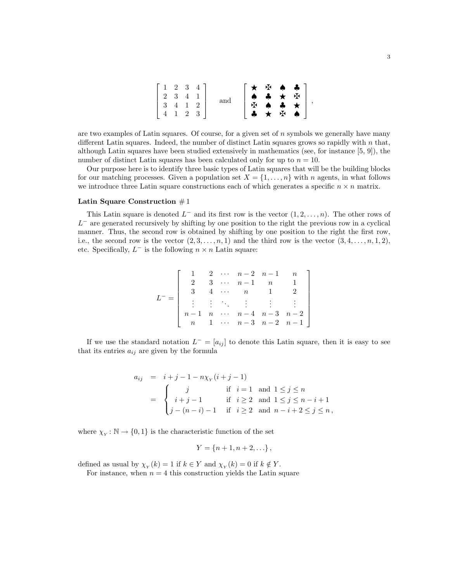|         |  | $1 \t2 \t3 \t4$                  |  |  |  |
|---------|--|----------------------------------|--|--|--|
| 2 3 4 1 |  |                                  |  |  |  |
|         |  | $3 \t4 \t1 \t2$                  |  |  |  |
|         |  | $4 \quad 1 \quad 2 \quad 3 \mid$ |  |  |  |

are two examples of Latin squares. Of course, for a given set of n symbols we generally have many different Latin squares. Indeed, the number of distinct Latin squares grows so rapidly with  $n$  that, although Latin squares have been studied extensively in mathematics (see, for instance [5, 9]), the number of distinct Latin squares has been calculated only for up to  $n = 10$ .

Our purpose here is to identify three basic types of Latin squares that will be the building blocks for our matching processes. Given a population set  $X = \{1, \ldots, n\}$  with n agents, in what follows we introduce three Latin square constructions each of which generates a specific  $n \times n$  matrix.

#### Latin Square Construction  $#1$

This Latin square is denoted  $L^-$  and its first row is the vector  $(1, 2, \ldots, n)$ . The other rows of  $L<sup>-</sup>$  are generated recursively by shifting by one position to the right the previous row in a cyclical manner. Thus, the second row is obtained by shifting by one position to the right the first row, i.e., the second row is the vector  $(2, 3, \ldots, n, 1)$  and the third row is the vector  $(3, 4, \ldots, n, 1, 2)$ , etc. Specifically,  $L^-$  is the following  $n \times n$  Latin square:

|   |             |  | 1 2 $\cdots$ $n-2$ $n-1$ $n$                                                            |          |                                      |
|---|-------------|--|-----------------------------------------------------------------------------------------|----------|--------------------------------------|
|   |             |  | $3 \cdots n-1 \qquad n$                                                                 |          |                                      |
|   |             |  | $\frac{1}{4}$ $n$                                                                       | $\sim$ 1 |                                      |
| L |             |  | $\mathcal{L}(\mathcal{H}_\mathbf{a}) = \frac{1}{2} \mathcal{L}(\mathcal{H}_\mathbf{a})$ |          |                                      |
|   |             |  |                                                                                         |          | $n-1$ $n$ $\cdots$ $n-4$ $n-3$ $n-2$ |
|   | $\mathbb n$ |  |                                                                                         |          | $1 \cdots n-3 \quad n-2 \quad n-1$   |

If we use the standard notation  $L^- = [a_{ij}]$  to denote this Latin square, then it is easy to see that its entries  $a_{ij}$  are given by the formula

$$
a_{ij} = i + j - 1 - n\chi_{Y}(i + j - 1)
$$
  
= 
$$
\begin{cases} j & \text{if } i = 1 \text{ and } 1 \le j \le n \\ i + j - 1 & \text{if } i \ge 2 \text{ and } 1 \le j \le n - i + 1 \\ j - (n - i) - 1 & \text{if } i \ge 2 \text{ and } n - i + 2 \le j \le n, \end{cases}
$$

where  $\chi_Y : \mathbb{N} \to \{0, 1\}$  is the characteristic function of the set

$$
Y = \{n+1, n+2, ...\},
$$

defined as usual by  $\chi_Y(k) = 1$  if  $k \in Y$  and  $\chi_Y(k) = 0$  if  $k \notin Y$ .

For instance, when  $n = 4$  this construction yields the Latin square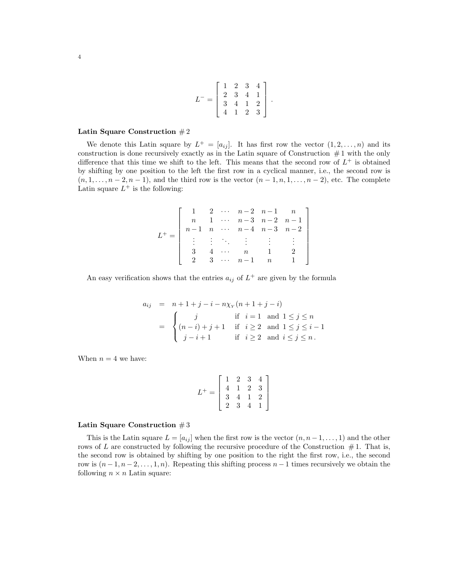$$
L^{-} = \left[ \begin{array}{rrrr} 1 & 2 & 3 & 4 \\ 2 & 3 & 4 & 1 \\ 3 & 4 & 1 & 2 \\ 4 & 1 & 2 & 3 \end{array} \right] .
$$

#### Latin Square Construction  $#2$

We denote this Latin square by  $L^+ = [a_{ij}]$ . It has first row the vector  $(1, 2, \ldots, n)$  and its construction is done recursively exactly as in the Latin square of Construction  $#1$  with the only difference that this time we shift to the left. This means that the second row of  $L^+$  is obtained by shifting by one position to the left the first row in a cyclical manner, i.e., the second row is  $(n, 1, \ldots, n-2, n-1)$ , and the third row is the vector  $(n-1, n, 1, \ldots, n-2)$ , etc. The complete Latin square  $L^+$  is the following:

$$
L^{+} = \left[\begin{array}{ccccc} 1 & 2 & \cdots & n-2 & n-1 & n \\ n & 1 & \cdots & n-3 & n-2 & n-1 \\ n-1 & n & \cdots & n-4 & n-3 & n-2 \\ \vdots & \vdots & \ddots & \vdots & \vdots & \vdots \\ 3 & 4 & \cdots & n & 1 & 2 \\ 2 & 3 & \cdots & n-1 & n & 1 \end{array}\right]
$$

An easy verification shows that the entries  $a_{ij}$  of  $L^+$  are given by the formula

$$
a_{ij} = n + 1 + j - i - n\chi_{Y}(n + 1 + j - i)
$$
  
= 
$$
\begin{cases} j & \text{if } i = 1 \text{ and } 1 \le j \le n \\ (n - i) + j + 1 & \text{if } i \ge 2 \text{ and } 1 \le j \le i - 1 \\ j - i + 1 & \text{if } i \ge 2 \text{ and } i \le j \le n. \end{cases}
$$

When  $n = 4$  we have:

$$
L^{+} = \left[ \begin{array}{rrrr} 1 & 2 & 3 & 4 \\ 4 & 1 & 2 & 3 \\ 3 & 4 & 1 & 2 \\ 2 & 3 & 4 & 1 \end{array} \right]
$$

#### Latin Square Construction  $#3$

This is the Latin square  $L = [a_{ij}]$  when the first row is the vector  $(n, n-1, \ldots, 1)$  and the other rows of L are constructed by following the recursive procedure of the Construction  $#1$ . That is, the second row is obtained by shifting by one position to the right the first row, i.e., the second row is  $(n-1, n-2, \ldots, 1, n)$ . Repeating this shifting process  $n-1$  times recursively we obtain the following  $n \times n$  Latin square: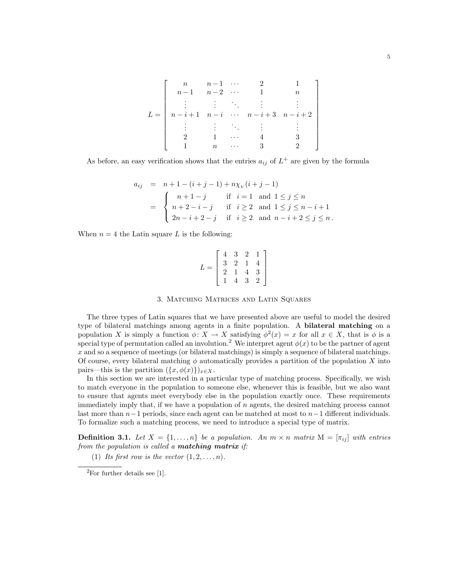$$
L = \begin{bmatrix} n & n-1 & \cdots & 2 & 1 \\ n-1 & n-2 & \cdots & 1 & n \\ \vdots & \vdots & \ddots & \vdots & \vdots \\ n-i+1 & n-i & \cdots & n-i+3 & n-i+2 \\ \vdots & \vdots & \ddots & \vdots & \vdots \\ 2 & 1 & \cdots & 4 & 3 \\ 1 & n & \cdots & 3 & 2 \end{bmatrix}
$$

As before, an easy verification shows that the entries  $a_{ij}$  of  $L^+$  are given by the formula

$$
a_{ij} = n + 1 - (i + j - 1) + n\chi_{Y}(i + j - 1)
$$
  
= 
$$
\begin{cases} n + 1 - j & \text{if } i = 1 \text{ and } 1 \leq j \leq n \\ n + 2 - i - j & \text{if } i \geq 2 \text{ and } 1 \leq j \leq n - i + 1 \\ 2n - i + 2 - j & \text{if } i \geq 2 \text{ and } n - i + 2 \leq j \leq n. \end{cases}
$$

When  $n = 4$  the Latin square L is the following:

$$
L = \left[ \begin{array}{cccc} 4 & 3 & 2 & 1 \\ 3 & 2 & 1 & 4 \\ 2 & 1 & 4 & 3 \\ 1 & 4 & 3 & 2 \end{array} \right]
$$

#### 3. Matching Matrices and Latin Squares

The three types of Latin squares that we have presented above are useful to model the desired type of bilateral matchings among agents in a finite population. A bilateral matching on a population X is simply a function  $\phi: X \to X$  satisfying  $\phi^2(x) = x$  for all  $x \in X$ , that is  $\phi$  is a special type of permutation called an involution.<sup>2</sup> We interpret agent  $\phi(x)$  to be the partner of agent  $x$  and so a sequence of meetings (or bilateral matchings) is simply a sequence of bilateral matchings. Of course, every bilateral matching  $\phi$  automatically provides a partition of the population X into pairs—this is the partition  $({x, \phi(x)})_{x \in X}$ .

In this section we are interested in a particular type of matching process. Specifically, we wish to match everyone in the population to someone else, whenever this is feasible, but we also want to ensure that agents meet everybody else in the population exactly once. These requirements immediately imply that, if we have a population of  $n$  agents, the desired matching process cannot last more than  $n-1$  periods, since each agent can be matched at most to  $n-1$  different individuals. To formalize such a matching process, we need to introduce a special type of matrix.

**Definition 3.1.** Let  $X = \{1, ..., n\}$  be a population. An  $m \times n$  matrix  $M = [\pi_{ij}]$  with entries from the population is called a **matching matrix** if:

(1) Its first row is the vector  $(1, 2, \ldots, n)$ .

1  $\overline{1}$  $\overline{1}$  $\perp$  $\overline{1}$  $\overline{1}$  $\overline{1}$  $\overline{1}$  $\overline{1}$  $\overline{1}$  $\overline{1}$  $\overline{1}$ 

 ${}^{2}$ For further details see [1].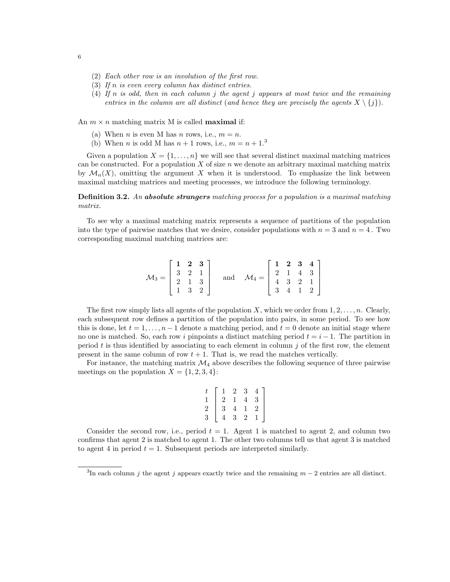- (2) Each other row is an involution of the first row.
- (3) If n is even every column has distinct entries.
- (4) If n is odd, then in each column j the agent j appears at most twice and the remaining entries in the column are all distinct (and hence they are precisely the agents  $X \setminus \{i\}$ ).

An  $m \times n$  matching matrix M is called **maximal** if:

- (a) When *n* is even M has *n* rows, i.e.,  $m = n$ .
- (b) When *n* is odd M has  $n + 1$  rows, i.e.,  $m = n + 1$ <sup>3</sup>

Given a population  $X = \{1, \ldots, n\}$  we will see that several distinct maximal matching matrices can be constructed. For a population  $X$  of size  $n$  we denote an arbitrary maximal matching matrix by  $\mathcal{M}_n(X)$ , omitting the argument X when it is understood. To emphasize the link between maximal matching matrices and meeting processes, we introduce the following terminology.

#### **Definition 3.2.** An absolute strangers matching process for a population is a maximal matching matrix.

To see why a maximal matching matrix represents a sequence of partitions of the population into the type of pairwise matches that we desire, consider populations with  $n = 3$  and  $n = 4$ . Two corresponding maximal matching matrices are:

|                                                                                                                                          |  |  | and $\mathcal{M}_4 = \left[ \begin{array}{cccc} 1 & 2 & 3 & 4 \\ 2 & 1 & 4 & 3 \\ 4 & 3 & 2 & 1 \\ 3 & 4 & 1 & 2 \end{array} \right]$ |  |  |  |
|------------------------------------------------------------------------------------------------------------------------------------------|--|--|---------------------------------------------------------------------------------------------------------------------------------------|--|--|--|
|                                                                                                                                          |  |  |                                                                                                                                       |  |  |  |
| $\mathcal{M}_3 = \left[ \begin{array}{ccc} \textbf{1} & \textbf{2} & \textbf{3} \ 3 & 2 & 1 \ 2 & 1 & 3 \ 1 & 3 & 2 \end{array} \right]$ |  |  |                                                                                                                                       |  |  |  |

The first row simply lists all agents of the population X, which we order from  $1, 2, \ldots, n$ . Clearly, each subsequent row defines a partition of the population into pairs, in some period. To see how this is done, let  $t = 1, \ldots, n - 1$  denote a matching period, and  $t = 0$  denote an initial stage where no one is matched. So, each row i pinpoints a distinct matching period  $t = i - 1$ . The partition in period t is thus identified by associating to each element in column  $j$  of the first row, the element present in the same column of row  $t + 1$ . That is, we read the matches vertically.

For instance, the matching matrix  $\mathcal{M}_4$  above describes the following sequence of three pairwise meetings on the population  $X = \{1, 2, 3, 4\}$ :

|              | $\mathbf{1}$   |                | 2 3            | 4              |
|--------------|----------------|----------------|----------------|----------------|
|              | $\overline{2}$ | $\mathbf{1}$   | $\overline{4}$ | 3              |
| $\mathbf{2}$ | $\sqrt{3}$     | $\overline{4}$ | $\mathbf{1}$   | $\overline{2}$ |
| 3            | $\overline{4}$ | $\overline{3}$ | 2              |                |

Consider the second row, i.e., period  $t = 1$ . Agent 1 is matched to agent 2, and column two confirms that agent 2 is matched to agent 1. The other two columns tell us that agent 3 is matched to agent 4 in period  $t = 1$ . Subsequent periods are interpreted similarly.

<sup>&</sup>lt;sup>3</sup>In each column j the agent j appears exactly twice and the remaining  $m-2$  entries are all distinct.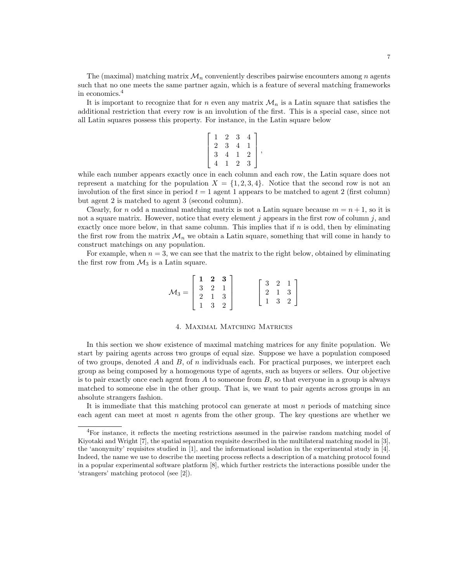The (maximal) matching matrix  $\mathcal{M}_n$  conveniently describes pairwise encounters among n agents such that no one meets the same partner again, which is a feature of several matching frameworks in economics.<sup>4</sup>

It is important to recognize that for n even any matrix  $\mathcal{M}_n$  is a Latin square that satisfies the additional restriction that every row is an involution of the first. This is a special case, since not all Latin squares possess this property. For instance, in the Latin square below

$$
\left[\begin{array}{cccc}1&2&3&4\\2&3&4&1\\3&4&1&2\\4&1&2&3\end{array}\right]
$$

,

while each number appears exactly once in each column and each row, the Latin square does not represent a matching for the population  $X = \{1, 2, 3, 4\}$ . Notice that the second row is not an involution of the first since in period  $t = 1$  agent 1 appears to be matched to agent 2 (first column) but agent 2 is matched to agent 3 (second column).

Clearly, for n odd a maximal matching matrix is not a Latin square because  $m = n + 1$ , so it is not a square matrix. However, notice that every element  $j$  appears in the first row of column  $j$ , and exactly once more below, in that same column. This implies that if  $n$  is odd, then by eliminating the first row from the matrix  $\mathcal{M}_n$  we obtain a Latin square, something that will come in handy to construct matchings on any population.

For example, when  $n = 3$ , we can see that the matrix to the right below, obtained by eliminating the first row from  $\mathcal{M}_3$  is a Latin square.

$$
\mathcal{M}_3 = \left[ \begin{array}{rrr} \mathbf{1} & \mathbf{2} & \mathbf{3} \\ 3 & 2 & 1 \\ 2 & 1 & 3 \\ 1 & 3 & 2 \end{array} \right] \qquad \qquad \left[ \begin{array}{rrr} 3 & 2 & 1 \\ 2 & 1 & 3 \\ 1 & 3 & 2 \end{array} \right]
$$

#### 4. Maximal Matching Matrices

In this section we show existence of maximal matching matrices for any finite population. We start by pairing agents across two groups of equal size. Suppose we have a population composed of two groups, denoted A and B, of n individuals each. For practical purposes, we interpret each group as being composed by a homogenous type of agents, such as buyers or sellers. Our objective is to pair exactly once each agent from  $A$  to someone from  $B$ , so that everyone in a group is always matched to someone else in the other group. That is, we want to pair agents across groups in an absolute strangers fashion.

It is immediate that this matching protocol can generate at most  $n$  periods of matching since each agent can meet at most n agents from the other group. The key questions are whether we

<sup>4</sup>For instance, it reflects the meeting restrictions assumed in the pairwise random matching model of Kiyotaki and Wright [7], the spatial separation requisite described in the multilateral matching model in [3], the 'anonymity' requisites studied in [1], and the informational isolation in the experimental study in [4]. Indeed, the name we use to describe the meeting process reflects a description of a matching protocol found in a popular experimental software platform [8], which further restricts the interactions possible under the 'strangers' matching protocol (see [2]).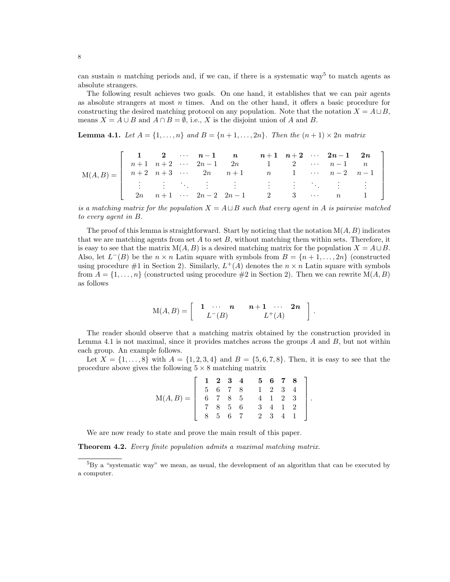can sustain n matching periods and, if we can, if there is a systematic way<sup>5</sup> to match agents as absolute strangers.

The following result achieves two goals. On one hand, it establishes that we can pair agents as absolute strangers at most  $n$  times. And on the other hand, it offers a basic procedure for constructing the desired matching protocol on any population. Note that the notation  $X = A \sqcup B$ , means  $X = A \cup B$  and  $A \cap B = \emptyset$ , i.e., X is the disjoint union of A and B.

**Lemma 4.1.** Let  $A = \{1, ..., n\}$  and  $B = \{n+1, ..., 2n\}$ . Then the  $(n + 1) \times 2n$  matrix

$$
\mathbf{M}(A,B) = \left[ \begin{array}{ccccc} \mathbf{1} & \mathbf{2} & \cdots & \mathbf{n-1} & \mathbf{n} & \mathbf{n+1} & \mathbf{n+2} & \cdots & \mathbf{2n-1} & \mathbf{2n} \\ n+1 & n+2 & \cdots & 2n-1 & 2n & 1 & 2 & \cdots & n-1 & n \\ n+2 & n+3 & \cdots & 2n & n+1 & n & 1 & \cdots & n-2 & n-1 \\ \vdots & \vdots & \ddots & \vdots & \vdots & \vdots & \vdots & \ddots & \vdots & \vdots \\ 2n & n+1 & \cdots & 2n-2 & 2n-1 & 2 & 3 & \cdots & n & 1 \end{array} \right]
$$

is a matching matrix for the population  $X = A \sqcup B$  such that every agent in A is pairwise matched to every agent in B.

The proof of this lemma is straightforward. Start by noticing that the notation  $M(A, B)$  indicates that we are matching agents from set A to set B, without matching them within sets. Therefore, it is easy to see that the matrix  $M(A, B)$  is a desired matching matrix for the population  $X = A \sqcup B$ . Also, let  $L^{-}(B)$  be the  $n \times n$  Latin square with symbols from  $B = \{n+1, \ldots, 2n\}$  (constructed using procedure #1 in Section 2). Similarly,  $L^+(A)$  denotes the  $n \times n$  Latin square with symbols from  $A = \{1, \ldots, n\}$  (constructed using procedure #2 in Section 2). Then we can rewrite  $M(A, B)$ as follows

$$
\mathcal{M}(A, B) = \left[ \begin{array}{ccc} 1 & \cdots & n & n+1 & \cdots & 2n \\ L^-(B) & & L^+(A) & \end{array} \right]
$$

.

The reader should observe that a matching matrix obtained by the construction provided in Lemma 4.1 is not maximal, since it provides matches across the groups  $A$  and  $B$ , but not within each group. An example follows.

Let  $X = \{1, ..., 8\}$  with  $A = \{1, 2, 3, 4\}$  and  $B = \{5, 6, 7, 8\}$ . Then, it is easy to see that the procedure above gives the following  $5 \times 8$  matching matrix

| $M(A, B) =$                                                                                                                |  |  |  |  |  |
|----------------------------------------------------------------------------------------------------------------------------|--|--|--|--|--|
|                                                                                                                            |  |  |  |  |  |
| $=\left[\begin{array}{ccccc}1&2&3&4&5&6&7&8\\5&6&7&8&1&2&3&4\\6&7&8&5&4&1&2\\7&8&5&6&3&4&1\\8&5&6&7&2&3\end{array}\right]$ |  |  |  |  |  |

We are now ready to state and prove the main result of this paper.

Theorem 4.2. Every finite population admits a maximal matching matrix.

 ${}^{5}$ By a "systematic way" we mean, as usual, the development of an algorithm that can be executed by a computer.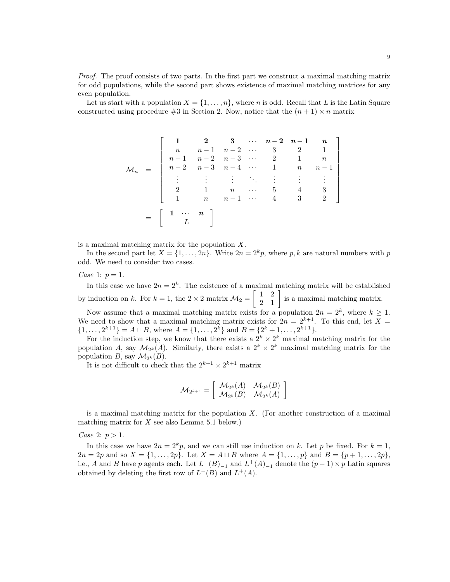Proof. The proof consists of two parts. In the first part we construct a maximal matching matrix for odd populations, while the second part shows existence of maximal matching matrices for any even population.

Let us start with a population  $X = \{1, \ldots, n\}$ , where n is odd. Recall that L is the Latin Square constructed using procedure #3 in Section 2. Now, notice that the  $(n + 1) \times n$  matrix

$$
\mathcal{M}_n = \begin{bmatrix} 1 & 2 & 3 & \cdots & n-2 & n-1 & n \\ n & n-1 & n-2 & \cdots & 3 & 2 & 1 \\ n-1 & n-2 & n-3 & \cdots & 2 & 1 & n \\ n-2 & n-3 & n-4 & \cdots & 1 & n & n-1 \\ \vdots & \vdots & \vdots & \ddots & \vdots & \vdots & \vdots \\ 2 & 1 & n & \cdots & 5 & 4 & 3 \\ 1 & n & n-1 & \cdots & 4 & 3 & 2 \end{bmatrix}
$$

$$
= \begin{bmatrix} 1 & \cdots & n \\ n & \cdots & n \end{bmatrix}
$$

is a maximal matching matrix for the population  $X$ .

In the second part let  $X = \{1, \ldots, 2n\}$ . Write  $2n = 2^k p$ , where p, k are natural numbers with p odd. We need to consider two cases.

Case 1:  $p = 1$ .

In this case we have  $2n = 2<sup>k</sup>$ . The existence of a maximal matching matrix will be established by induction on k. For  $k = 1$ , the  $2 \times 2$  matrix  $\mathcal{M}_2 = \begin{bmatrix} 1 & 2 \\ 2 & 1 \end{bmatrix}$  is a maximal matching matrix.

Now assume that a maximal matching matrix exists for a population  $2n = 2<sup>k</sup>$ , where  $k \ge 1$ . We need to show that a maximal matching matrix exists for  $2n = 2^{k+1}$ . To this end, let X =  $\{1, \ldots, 2^{k+1}\} = A \sqcup B$ , where  $A = \{1, \ldots, 2^k\}$  and  $B = \{2^k + 1, \ldots, 2^{k+1}\}.$ 

For the induction step, we know that there exists a  $2^k \times 2^k$  maximal matching matrix for the population A, say  $\mathcal{M}_{2^k}(A)$ . Similarly, there exists a  $2^k \times 2^k$  maximal matching matrix for the population B, say  $\mathcal{M}_{2^k}(B)$ .

It is not difficult to check that the  $2^{k+1} \times 2^{k+1}$  matrix

$$
\mathcal{M}_{2^{k+1}} = \left[ \begin{array}{cc} \mathcal{M}_{2^k}(A) & \mathcal{M}_{2^k}(B) \\ \mathcal{M}_{2^k}(B) & \mathcal{M}_{2^k}(A) \end{array} \right]
$$

is a maximal matching matrix for the population  $X$ . (For another construction of a maximal matching matrix for  $X$  see also Lemma 5.1 below.)

Case 2:  $p > 1$ .

In this case we have  $2n = 2<sup>k</sup>p$ , and we can still use induction on k. Let p be fixed. For  $k = 1$ ,  $2n = 2p$  and so  $X = \{1, ..., 2p\}$ . Let  $X = A \sqcup B$  where  $A = \{1, ..., p\}$  and  $B = \{p+1, ..., 2p\}$ . i.e., A and B have p agents each. Let  $L^{-}(B)_{-1}$  and  $L^{+}(A)_{-1}$  denote the  $(p-1) \times p$  Latin squares obtained by deleting the first row of  $L^-(B)$  and  $L^+(A)$ .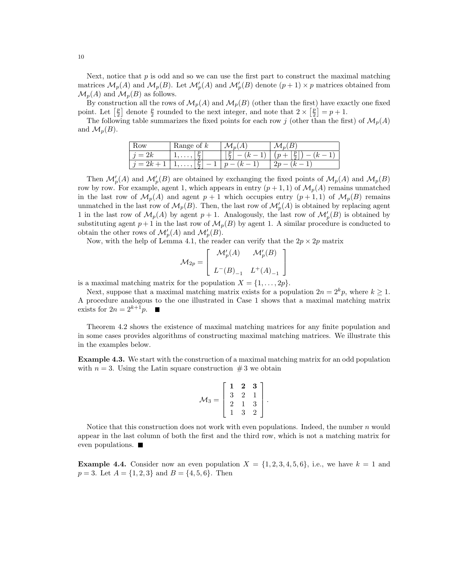Next, notice that  $p$  is odd and so we can use the first part to construct the maximal matching matrices  $\mathcal{M}_p(A)$  and  $\mathcal{M}_p(B)$ . Let  $\mathcal{M}'_p(A)$  and  $\mathcal{M}'_p(B)$  denote  $(p+1) \times p$  matrices obtained from  $\mathcal{M}_p(A)$  and  $\mathcal{M}_p(B)$  as follows.

By construction all the rows of  $\mathcal{M}_p(A)$  and  $\mathcal{M}_p(B)$  (other than the first) have exactly one fixed point. Let  $\left[\frac{p}{2}\right]$  denote  $\frac{p}{2}$  rounded to the next integer, and note that  $2 \times \left[\frac{p}{2}\right] = p + 1$ .

The following table summarizes the fixed points for each row j (other than the first) of  $\mathcal{M}_p(A)$ and  $\mathcal{M}_p(B)$ .

| <b>ROW</b> | Range of                     |  |
|------------|------------------------------|--|
|            | ÷.<br>∸                      |  |
| ' I^       | $\boldsymbol{p}$<br><u>_</u> |  |

Then  $\mathcal{M}'_p(A)$  and  $\mathcal{M}'_p(B)$  are obtained by exchanging the fixed points of  $\mathcal{M}_p(A)$  and  $\mathcal{M}_p(B)$ row by row. For example, agent 1, which appears in entry  $(p+1, 1)$  of  $\mathcal{M}_p(A)$  remains unmatched in the last row of  $\mathcal{M}_p(A)$  and agent  $p + 1$  which occupies entry  $(p + 1, 1)$  of  $\mathcal{M}_p(B)$  remains unmatched in the last row of  $\mathcal{M}_p(B)$ . Then, the last row of  $\mathcal{M}'_p(A)$  is obtained by replacing agent 1 in the last row of  $\mathcal{M}_p(A)$  by agent  $p+1$ . Analogously, the last row of  $\mathcal{M}'_p(B)$  is obtained by substituting agent  $p+1$  in the last row of  $\mathcal{M}_p(B)$  by agent 1. A similar procedure is conducted to obtain the other rows of  $\mathcal{M}'_p(A)$  and  $\mathcal{M}'_p(B)$ .

Now, with the help of Lemma 4.1, the reader can verify that the  $2p \times 2p$  matrix

$$
\mathcal{M}_{2p} = \left[ \begin{array}{cc} \mathcal{M}'_p(A) & \mathcal{M}'_p(B) \\ L^-(B)_{-1} & L^+(A)_{-1} \end{array} \right]
$$

is a maximal matching matrix for the population  $X = \{1, \ldots, 2p\}.$ 

Next, suppose that a maximal matching matrix exists for a population  $2n = 2<sup>k</sup>p$ , where  $k \ge 1$ . A procedure analogous to the one illustrated in Case 1 shows that a maximal matching matrix exists for  $2n = 2^{k+1}p$ .

Theorem 4.2 shows the existence of maximal matching matrices for any finite population and in some cases provides algorithms of constructing maximal matching matrices. We illustrate this in the examples below.

Example 4.3. We start with the construction of a maximal matching matrix for an odd population with  $n = 3$ . Using the Latin square construction  $\#3$  we obtain

$$
\mathcal{M}_3 = \left[\begin{array}{rrr} \mathbf{1} & \mathbf{2} & \mathbf{3} \\ 3 & 2 & 1 \\ 2 & 1 & 3 \\ 1 & 3 & 2 \end{array}\right].
$$

Notice that this construction does not work with even populations. Indeed, the number n would appear in the last column of both the first and the third row, which is not a matching matrix for even populations.

**Example 4.4.** Consider now an even population  $X = \{1, 2, 3, 4, 5, 6\}$ , i.e., we have  $k = 1$  and  $p = 3$ . Let  $A = \{1, 2, 3\}$  and  $B = \{4, 5, 6\}$ . Then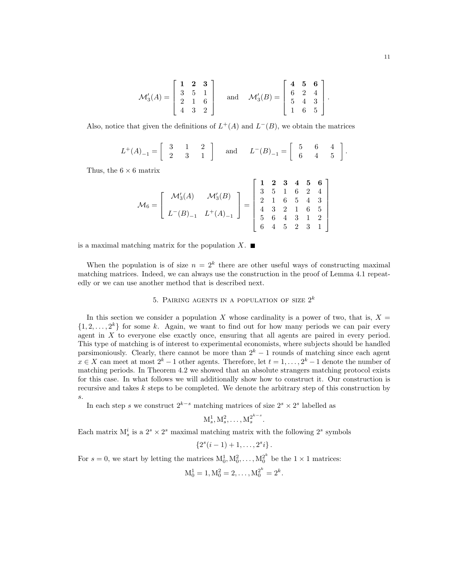$$
\mathcal{M}'_3(A) = \begin{bmatrix} 1 & 2 & 3 \\ 3 & 5 & 1 \\ 2 & 1 & 6 \\ 4 & 3 & 2 \end{bmatrix} \quad \text{and} \quad \mathcal{M}'_3(B) = \begin{bmatrix} 4 & 5 & 6 \\ 6 & 2 & 4 \\ 5 & 4 & 3 \\ 1 & 6 & 5 \end{bmatrix}
$$

Also, notice that given the definitions of  $L^+(A)$  and  $L^-(B)$ , we obtain the matrices

$$
L^{+}(A)_{-1} = \begin{bmatrix} 3 & 1 & 2 \\ 2 & 3 & 1 \end{bmatrix} \text{ and } L^{-}(B)_{-1} = \begin{bmatrix} 5 & 6 & 4 \\ 6 & 4 & 5 \end{bmatrix}.
$$

Thus, the  $6 \times 6$  matrix

$$
\mathcal{M}_6 = \left[ \begin{array}{cccc} \mathcal{M}'_3(A) & \mathcal{M}'_3(B) \\ L^-(B)_{-1} & L^+(A)_{-1} \end{array} \right] = \left[ \begin{array}{cccc} 1 & 2 & 3 & 4 & 5 & 6 \\ 3 & 5 & 1 & 6 & 2 & 4 \\ 2 & 1 & 6 & 5 & 4 & 3 \\ 4 & 3 & 2 & 1 & 6 & 5 \\ 5 & 6 & 4 & 3 & 1 & 2 \\ 6 & 4 & 5 & 2 & 3 & 1 \end{array} \right]
$$

is a maximal matching matrix for the population  $X$ .

When the population is of size  $n = 2<sup>k</sup>$  there are other useful ways of constructing maximal matching matrices. Indeed, we can always use the construction in the proof of Lemma 4.1 repeatedly or we can use another method that is described next.

## 5. PAIRING AGENTS IN A POPULATION OF SIZE  $2^k$

In this section we consider a population X whose cardinality is a power of two, that is,  $X =$  $\{1, 2, \ldots, 2^k\}$  for some k. Again, we want to find out for how many periods we can pair every agent in  $X$  to everyone else exactly once, ensuring that all agents are paired in every period. This type of matching is of interest to experimental economists, where subjects should be handled parsimoniously. Clearly, there cannot be more than  $2<sup>k</sup> - 1$  rounds of matching since each agent  $x \in X$  can meet at most  $2^k - 1$  other agents. Therefore, let  $t = 1, \ldots, 2^k - 1$  denote the number of matching periods. In Theorem 4.2 we showed that an absolute strangers matching protocol exists for this case. In what follows we will additionally show how to construct it. Our construction is recursive and takes  $k$  steps to be completed. We denote the arbitrary step of this construction by s.

In each step s we construct  $2^{k-s}$  matching matrices of size  $2^s \times 2^s$  labelled as

$$
\mathbf{M}_s^1, \mathbf{M}_s^2, \dots, \mathbf{M}_s^{2^{k-s}}
$$

.

Each matrix  $M_s^i$  is a  $2^s \times 2^s$  maximal matching matrix with the following  $2^s$  symbols

$$
\{2^s(i-1)+1,\ldots,2^s i\}.
$$

For  $s = 0$ , we start by letting the matrices  $M_0^1, M_0^2, \ldots, M_0^{2^k}$  be the  $1 \times 1$  matrices:

$$
M_0^1 = 1, M_0^2 = 2, \dots, M_0^{2^k} = 2^k.
$$

.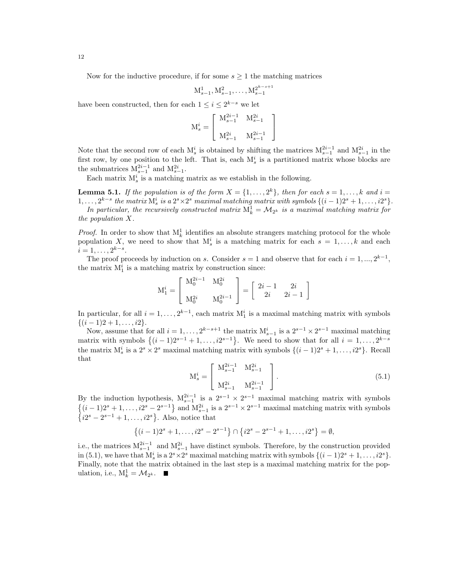Now for the inductive procedure, if for some  $s \geq 1$  the matching matrices

$$
\mathbf{M}_{s-1}^1, \mathbf{M}_{s-1}^2, \dots, \mathbf{M}_{s-1}^{2^{k-s+1}}
$$

have been constructed, then for each  $1 \leq i \leq 2^{k-s}$  we let

$$
\mathbf{M}_s^i = \left[ \begin{array}{cc} \mathbf{M}_{s-1}^{2i-1} & \mathbf{M}_{s-1}^{2i} \\ & \\ \mathbf{M}_{s-1}^{2i} & \mathbf{M}_{s-1}^{2i-1} \end{array} \right]
$$

Note that the second row of each  $M_s^i$  is obtained by shifting the matrices  $M_{s-1}^{2i-1}$  and  $M_{s-1}^{2i}$  in the first row, by one position to the left. That is, each  $M_s^i$  is a partitioned matrix whose blocks are the submatrices  $M_{s-1}^{2i-1}$  and  $M_{s-1}^{2i}$ .

Each matrix  $M_s^i$  is a matching matrix as we establish in the following.

**Lemma 5.1.** If the population is of the form  $X = \{1, \ldots, 2^k\}$ , then for each  $s = 1, \ldots, k$  and  $i =$  $1, \ldots, 2^{k-s}$  the matrix  $M_s^i$  is a  $2^s \times 2^s$  maximal matching matrix with symbols  $\{(i-1)2^s + 1, \ldots, i2^s\}$ . In particular, the recursively constructed matrix  $M_k^1 = \mathcal{M}_{2^k}$  is a maximal matching matrix for the population X.

*Proof.* In order to show that  $M_k^1$  identifies an absolute strangers matching protocol for the whole population X, we need to show that  $M_s^i$  is a matching matrix for each  $s = 1, ..., k$  and each  $i = 1, \ldots, 2^{k-s}.$ 

The proof proceeds by induction on s. Consider  $s = 1$  and observe that for each  $i = 1, ..., 2^{k-1}$ , the matrix  $M_1^i$  is a matching matrix by construction since:

$$
M_1^i = \begin{bmatrix} M_0^{2i-1} & M_0^{2i} \\ & \\ M_0^{2i} & M_0^{2i-1} \end{bmatrix} = \begin{bmatrix} 2i-1 & 2i \\ 2i & 2i-1 \end{bmatrix}
$$

In particular, for all  $i = 1, ..., 2^{k-1}$ , each matrix  $M_1^i$  is a maximal matching matrix with symbols  $\{(i-1)2+1,\ldots,i2\}.$ 

Now, assume that for all  $i = 1, ..., 2^{k-s+1}$  the matrix  $M_{s-1}^i$  is a  $2^{s-1} \times 2^{s-1}$  maximal matching matrix with symbols  $\{(i-1)2^{s-1}+1,\ldots,i2^{s-1}\}$ . We need to show that for all  $i=1,\ldots,2^{k-s}$ the matrix  $M_s^i$  is a  $2^s \times 2^s$  maximal matching matrix with symbols  $\{(i-1)2^s + 1, \ldots, i2^s\}$ . Recall that

$$
\mathbf{M}_{s}^{i} = \begin{bmatrix} \mathbf{M}_{s-1}^{2i-1} & \mathbf{M}_{s-1}^{2i} \\ \mathbf{M}_{s-1}^{2i} & \mathbf{M}_{s-1}^{2i-1} \end{bmatrix} .
$$
 (5.1)

By the induction hypothesis,  $M_{s-1}^{2i-1}$  is a  $2^{s-1} \times 2^{s-1}$  maximal matching matrix with symbols  $\{(i-1)2^s+1,\ldots,i2^s-2^{s-1}\}\$ and  $M_{s-1}^{2i}$  is a  $2^{s-1}\times 2^{s-1}$  maximal matching matrix with symbols  $\{i2^s - 2^{s-1} + 1, \ldots, i2^s\}$ . Also, notice that

$$
\{(i-1)2^s+1,\ldots,i2^s-2^{s-1}\}\cap\{i2^s-2^{s-1}+1,\ldots,i2^s\}=\emptyset,
$$

i.e., the matrices  $M_{s-1}^{2i-1}$  and  $M_{s-1}^{2i}$  have distinct symbols. Therefore, by the construction provided in (5.1), we have that  $M_s^i$  is a  $2^s \times 2^s$  maximal matching matrix with symbols  $\{(i-1)2^s + 1, \ldots, i2^s\}$ . Finally, note that the matrix obtained in the last step is a maximal matching matrix for the population, i.e.,  $M_k^1 = \mathcal{M}_{2^k}$ .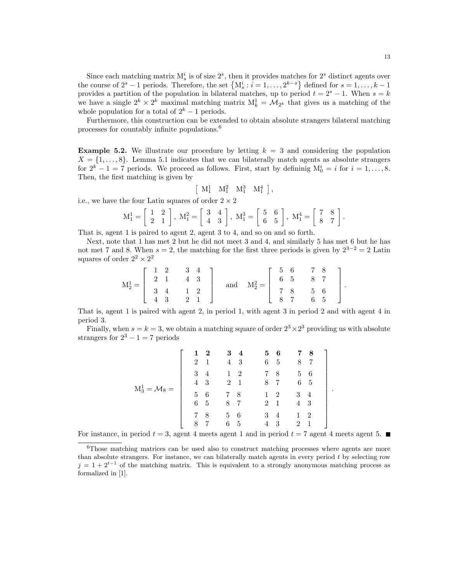.

.

Since each matching matrix  $M_s^i$  is of size  $2^s$ , then it provides matches for  $2^s$  distinct agents over the course of  $2<sup>s</sup> - 1$  periods. Therefore, the set  $\{M_s^i : i = 1, ..., 2^{k-s}\}\$  defined for  $s = 1, ..., k-1$ provides a partition of the population in bilateral matches, up to period  $t = 2<sup>s</sup> - 1$ . When  $s = k$ we have a single  $2^k \times 2^k$  maximal matching matrix  $M_k^1 = M_{2^k}$  that gives us a matching of the whole population for a total of  $2^k - 1$  periods.

Furthermore, this construction can be extended to obtain absolute strangers bilateral matching processes for countably infinite populations.<sup>6</sup>

**Example 5.2.** We illustrate our procedure by letting  $k = 3$  and considering the population  $X = \{1, \ldots, 8\}$ . Lemma 5.1 indicates that we can bilaterally match agents as absolute strangers for  $2^k - 1 = 7$  periods. We proceed as follows. First, start by defininig  $M_0^i = i$  for  $i = 1, ..., 8$ . Then, the first matching is given by

 $\left[\begin{array}{cccc} M_1^1 & M_1^2 & M_1^3 & M_1^4 \end{array}\right],$ 

i.e., we have the four Latin squares of order  $2 \times 2$ 

$$
M_1^1 = \begin{bmatrix} 1 & 2 \\ 2 & 1 \end{bmatrix}, M_1^2 = \begin{bmatrix} 3 & 4 \\ 4 & 3 \end{bmatrix}, M_1^3 = \begin{bmatrix} 5 & 6 \\ 6 & 5 \end{bmatrix}, M_1^4 = \begin{bmatrix} 7 & 8 \\ 8 & 7 \end{bmatrix}.
$$

That is, agent 1 is paired to agent 2, agent 3 to 4, and so on and so forth.

Next, note that 1 has met 2 but he did not meet 3 and 4, and similarly 5 has met 6 but he has not met 7 and 8. When  $s = 2$ , the matching for the first three periods is given by  $2^{3-2} = 2$  Latin squares of order  $2^2 \times 2^2$ 

$$
M_2^1 = \left[ \begin{array}{cccc} 1 & 2 & 3 & 4 \\ 2 & 1 & 4 & 3 \\ 3 & 4 & 1 & 2 \\ 4 & 3 & 2 & 1 \end{array} \right] \quad \text{and} \quad M_2^2 = \left[ \begin{array}{cccc} 5 & 6 & 7 & 8 \\ 6 & 5 & 8 & 7 \\ 7 & 8 & 5 & 6 \\ 8 & 7 & 6 & 5 \end{array} \right]
$$

That is, agent 1 is paired with agent 2, in period 1, with agent 3 in period 2 and with agent 4 in period 3.

Finally, when  $s = k = 3$ , we obtain a matching square of order  $2<sup>3</sup> \times 2<sup>3</sup>$  providing us with absolute strangers for  $2^3 - 1 = 7$  periods

|                           | 1              | $\mathbf{2}$ | $\bf{3}$       | $\overline{\mathbf{4}}$ |                | $5\quad 6$     | 8<br>7              |  |
|---------------------------|----------------|--------------|----------------|-------------------------|----------------|----------------|---------------------|--|
|                           | $\overline{2}$ | 1            | $\overline{4}$ | -3                      | 6              | $\overline{5}$ | 8<br>7              |  |
|                           | 3              | 4            | $\mathbf{1}$   | $\overline{2}$          |                | 8              | 5<br>6              |  |
|                           | 4              | 3            | $\overline{2}$ | 1                       | 8              | 7              | 6<br>5              |  |
| $M_3^1 = \mathcal{M}_8 =$ | 5              | 6            | 7              | 8                       | 1              | $\overline{2}$ | 3<br>$\overline{4}$ |  |
|                           | 6              | 5            | 8              | 7                       | $\overline{2}$ | 1              | - 3<br>4            |  |
|                           |                | 8            | 5              | 6                       | 3              | 4              | $\overline{2}$      |  |
|                           | 8              |              | 6              | 5                       | 4              | 3              | $\mathfrak{D}$      |  |

For instance, in period  $t = 3$ , agent 4 meets agent 1 and in period  $t = 7$  agent 4 meets agent 5.

<sup>&</sup>lt;sup>6</sup>Those matching matrices can be used also to construct matching processes where agents are more than absolute strangers. For instance, we can bilaterally match agents in every period  $t$  by selecting row  $j = 1 + 2^{t-1}$  of the matching matrix. This is equivalent to a strongly anonymous matching process as formalized in [1].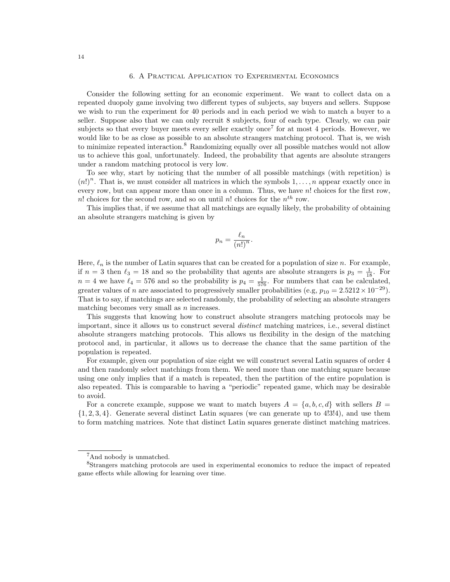#### 6. A Practical Application to Experimental Economics

Consider the following setting for an economic experiment. We want to collect data on a repeated duopoly game involving two different types of subjects, say buyers and sellers. Suppose we wish to run the experiment for 40 periods and in each period we wish to match a buyer to a seller. Suppose also that we can only recruit 8 subjects, four of each type. Clearly, we can pair subjects so that every buyer meets every seller exactly once<sup>7</sup> for at most 4 periods. However, we would like to be as close as possible to an absolute strangers matching protocol. That is, we wish to minimize repeated interaction.<sup>8</sup> Randomizing equally over all possible matches would not allow us to achieve this goal, unfortunately. Indeed, the probability that agents are absolute strangers under a random matching protocol is very low.

To see why, start by noticing that the number of all possible matchings (with repetition) is  $(n!)^n$ . That is, we must consider all matrices in which the symbols  $1, \ldots, n$  appear exactly once in every row, but can appear more than once in a column. Thus, we have n! choices for the first row, n! choices for the second row, and so on until n! choices for the  $n^{th}$  row.

This implies that, if we assume that all matchings are equally likely, the probability of obtaining an absolute strangers matching is given by

$$
p_n = \frac{\ell_n}{(n!)^n}.
$$

Here,  $\ell_n$  is the number of Latin squares that can be created for a population of size n. For example, if  $n = 3$  then  $\ell_3 = 18$  and so the probability that agents are absolute strangers is  $p_3 = \frac{1}{18}$ . For  $n = 4$  we have  $\ell_4 = 576$  and so the probability is  $p_4 = \frac{1}{576}$ . For numbers that can be calculated, greater values of n are associated to progressively smaller probabilities (e.g,  $p_{10} = 2.5212 \times 10^{-29}$ ). That is to say, if matchings are selected randomly, the probability of selecting an absolute strangers matching becomes very small as *n* increases.

This suggests that knowing how to construct absolute strangers matching protocols may be important, since it allows us to construct several distinct matching matrices, i.e., several distinct absolute strangers matching protocols. This allows us flexibility in the design of the matching protocol and, in particular, it allows us to decrease the chance that the same partition of the population is repeated.

For example, given our population of size eight we will construct several Latin squares of order 4 and then randomly select matchings from them. We need more than one matching square because using one only implies that if a match is repeated, then the partition of the entire population is also repeated. This is comparable to having a "periodic" repeated game, which may be desirable to avoid.

For a concrete example, suppose we want to match buyers  $A = \{a, b, c, d\}$  with sellers  $B =$  $\{1, 2, 3, 4\}$ . Generate several distinct Latin squares (we can generate up to 4.3.14), and use them to form matching matrices. Note that distinct Latin squares generate distinct matching matrices.

<sup>7</sup>And nobody is unmatched.

<sup>8</sup>Strangers matching protocols are used in experimental economics to reduce the impact of repeated game effects while allowing for learning over time.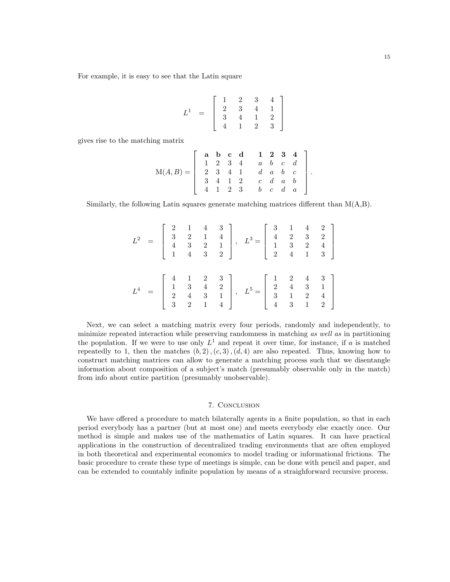For example, it is easy to see that the Latin square

$$
L^{1} = \left[\begin{array}{cccc} 1 & 2 & 3 & 4 \\ 2 & 3 & 4 & 1 \\ 3 & 4 & 1 & 2 \\ 4 & 1 & 2 & 3 \end{array}\right]
$$

gives rise to the matching matrix

$$
M(A,B) = \left[ \begin{array}{cccccc} a & b & c & d & 1 & 2 & 3 & 4 \\ 1 & 2 & 3 & 4 & a & b & c & d \\ 2 & 3 & 4 & 1 & d & a & b & c \\ 3 & 4 & 1 & 2 & c & d & a & b \\ 4 & 1 & 2 & 3 & b & c & d & a \end{array} \right].
$$

Similarly, the following Latin squares generate matching matrices different than  $M(A,B)$ .

|  |  |  | $L^2$ = $\begin{bmatrix} 2 & 1 & 4 & 3 \\ 3 & 2 & 1 & 4 \\ 4 & 3 & 2 & 1 \\ 1 & 4 & 3 & 2 \end{bmatrix}$ , $L^3 = \begin{bmatrix} 3 & 1 & 4 & 2 \\ 4 & 2 & 3 & 2 \\ 1 & 3 & 2 & 4 \\ 2 & 4 & 1 & 3 \end{bmatrix}$                                             |  |  |
|--|--|--|---------------------------------------------------------------------------------------------------------------------------------------------------------------------------------------------------------------------------------------------------------------|--|--|
|  |  |  | $L^4 \;\; = \;\; \left[\begin{array}{cccc} 4 & 1 & 2 & 3 \\ 1 & 3 & 4 & 2 \\ 2 & 4 & 3 & 1 \\ 3 & 2 & 1 & 4 \end{array}\right], \  \  \, L^5 = \left[\begin{array}{cccc} 1 & 2 & 4 & 3 \\ 2 & 4 & 3 & 1 \\ 3 & 1 & 2 & 4 \\ 4 & 3 & 1 & 2 \end{array}\right]$ |  |  |

Next, we can select a matching matrix every four periods, randomly and independently, to minimize repeated interaction while preserving randomness in matching as well as in partitioning the population. If we were to use only  $L^1$  and repeat it over time, for instance, if a is matched repeatedly to 1, then the matches  $(b, 2)$ ,  $(c, 3)$ ,  $(d, 4)$  are also repeated. Thus, knowing how to construct matching matrices can allow to generate a matching process such that we disentangle information about composition of a subject's match (presumably observable only in the match) from info about entire partition (presumably unobservable).

#### 7. Conclusion

We have offered a procedure to match bilaterally agents in a finite population, so that in each period everybody has a partner (but at most one) and meets everybody else exactly once. Our method is simple and makes use of the mathematics of Latin squares. It can have practical applications in the construction of decentralized trading environments that are often employed in both theoretical and experimental economics to model trading or informational frictions. The basic procedure to create these type of meetings is simple, can be done with pencil and paper, and can be extended to countably infinite population by means of a straighforward recursive process.